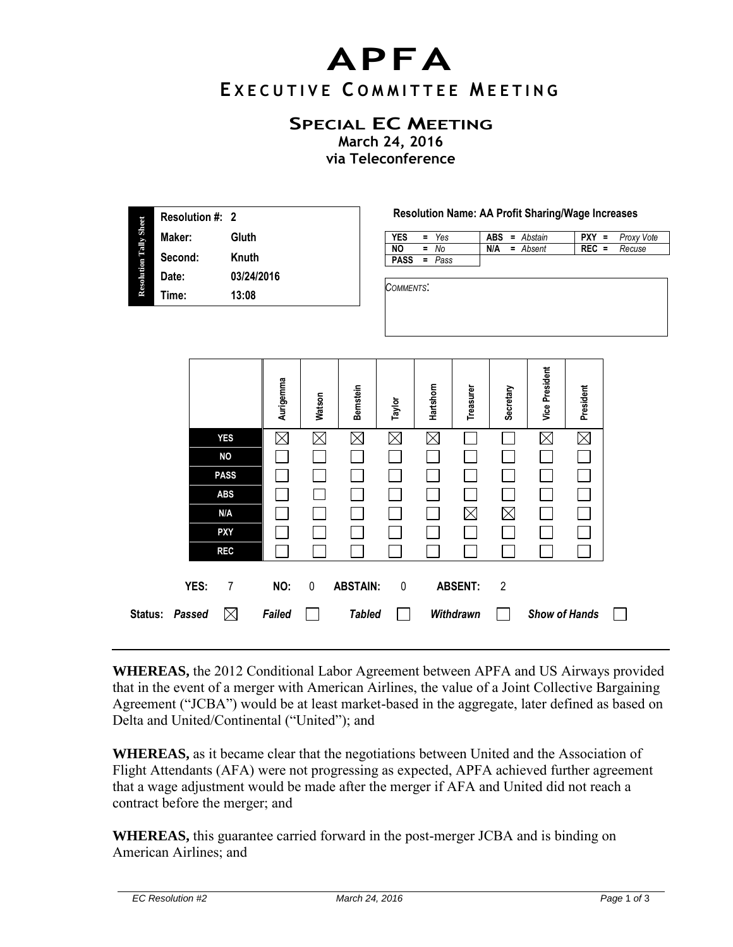## **APFA E X E C U T I V E C O M M I T T E E M E E T I N G**

## **SPECIAL EC MEETING**

**March 24, 2016 via Teleconference** 

| <b>Resolution Tally Sheet</b> | <b>Resolution #: 2</b> |            |  |  |  |  |
|-------------------------------|------------------------|------------|--|--|--|--|
|                               | Maker:                 | Gluth      |  |  |  |  |
|                               | Second:                | Knuth      |  |  |  |  |
|                               | Date:                  | 03/24/2016 |  |  |  |  |
|                               | Time:                  | 13:08      |  |  |  |  |
|                               |                        |            |  |  |  |  |

## **Resolution Name: AA Profit Sharing/Wage Increases**

| YES         | $=$ Yes |     | $ABS = Abstain$ | $PXY =$ | Proxy Vote |
|-------------|---------|-----|-----------------|---------|------------|
| <b>NO</b>   | $=$ No  | N/A | = Absent        | $REC =$ | Recuse     |
| <b>PASS</b> | = Pass  |     |                 |         |            |

*COMMENTS*:

|                |      |             | Aurigemma   | Watson      | Bernstein       | Taylor      | Hartshorn | Treasurer      | Secretary      | <b>Vice President</b> | President   |  |
|----------------|------|-------------|-------------|-------------|-----------------|-------------|-----------|----------------|----------------|-----------------------|-------------|--|
|                |      | <b>YES</b>  | $\boxtimes$ | $\times$    | M               | $\boxtimes$ | $\times$  |                |                | $\boxtimes$           | $\boxtimes$ |  |
|                |      | <b>NO</b>   |             |             |                 |             |           |                |                |                       |             |  |
|                |      | <b>PASS</b> |             |             |                 |             |           |                |                |                       |             |  |
|                |      | <b>ABS</b>  |             |             |                 |             |           |                |                |                       |             |  |
|                |      | N/A         |             |             |                 |             |           | $\boxtimes$    | $\boxtimes$    |                       |             |  |
|                |      | <b>PXY</b>  |             |             |                 |             |           |                |                |                       |             |  |
|                |      | <b>REC</b>  |             |             |                 |             |           |                |                |                       |             |  |
|                | YES: | 7           | NO:         | $\mathbf 0$ | <b>ABSTAIN:</b> | 0           |           | <b>ABSENT:</b> | $\overline{2}$ |                       |             |  |
| Status: Passed |      | $\boxtimes$ | Failed      |             | <b>Tabled</b>   |             |           | Withdrawn      |                | <b>Show of Hands</b>  |             |  |

**WHEREAS,** the 2012 Conditional Labor Agreement between APFA and US Airways provided that in the event of a merger with American Airlines, the value of a Joint Collective Bargaining Agreement ("JCBA") would be at least market-based in the aggregate, later defined as based on Delta and United/Continental ("United"); and

**WHEREAS,** as it became clear that the negotiations between United and the Association of Flight Attendants (AFA) were not progressing as expected, APFA achieved further agreement that a wage adjustment would be made after the merger if AFA and United did not reach a contract before the merger; and

**WHEREAS,** this guarantee carried forward in the post-merger JCBA and is binding on American Airlines; and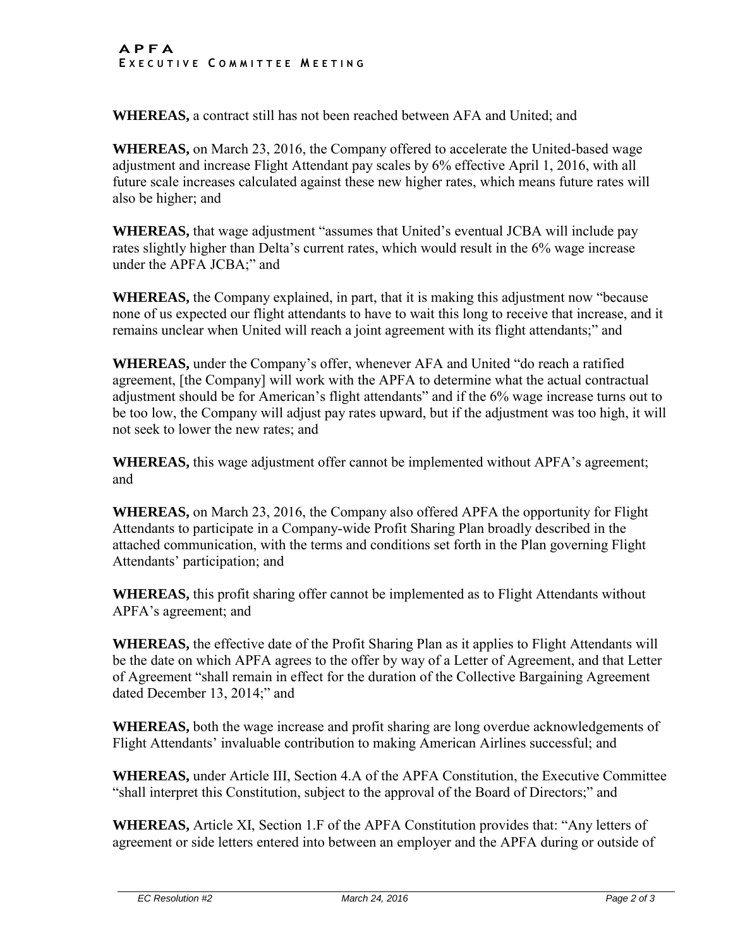## **A P F A E X E C U T I V E C O M M I T T E E M E E T I N G**

**WHEREAS,** a contract still has not been reached between AFA and United; and

**WHEREAS,** on March 23, 2016, the Company offered to accelerate the United-based wage adjustment and increase Flight Attendant pay scales by 6% effective April 1, 2016, with all future scale increases calculated against these new higher rates, which means future rates will also be higher; and

**WHEREAS,** that wage adjustment "assumes that United's eventual JCBA will include pay rates slightly higher than Delta's current rates, which would result in the 6% wage increase under the APFA JCBA;" and

**WHEREAS,** the Company explained, in part, that it is making this adjustment now "because none of us expected our flight attendants to have to wait this long to receive that increase, and it remains unclear when United will reach a joint agreement with its flight attendants;" and

**WHEREAS,** under the Company's offer, whenever AFA and United "do reach a ratified agreement, [the Company] will work with the APFA to determine what the actual contractual adjustment should be for American's flight attendants" and if the 6% wage increase turns out to be too low, the Company will adjust pay rates upward, but if the adjustment was too high, it will not seek to lower the new rates; and

**WHEREAS,** this wage adjustment offer cannot be implemented without APFA's agreement; and

**WHEREAS,** on March 23, 2016, the Company also offered APFA the opportunity for Flight Attendants to participate in a Company-wide Profit Sharing Plan broadly described in the attached communication, with the terms and conditions set forth in the Plan governing Flight Attendants' participation; and

**WHEREAS,** this profit sharing offer cannot be implemented as to Flight Attendants without APFA's agreement; and

**WHEREAS,** the effective date of the Profit Sharing Plan as it applies to Flight Attendants will be the date on which APFA agrees to the offer by way of a Letter of Agreement, and that Letter of Agreement "shall remain in effect for the duration of the Collective Bargaining Agreement dated December 13, 2014;" and

**WHEREAS,** both the wage increase and profit sharing are long overdue acknowledgements of Flight Attendants' invaluable contribution to making American Airlines successful; and

**WHEREAS,** under Article III, Section 4.A of the APFA Constitution, the Executive Committee "shall interpret this Constitution, subject to the approval of the Board of Directors;" and

**WHEREAS,** Article XI, Section 1.F of the APFA Constitution provides that: "Any letters of agreement or side letters entered into between an employer and the APFA during or outside of